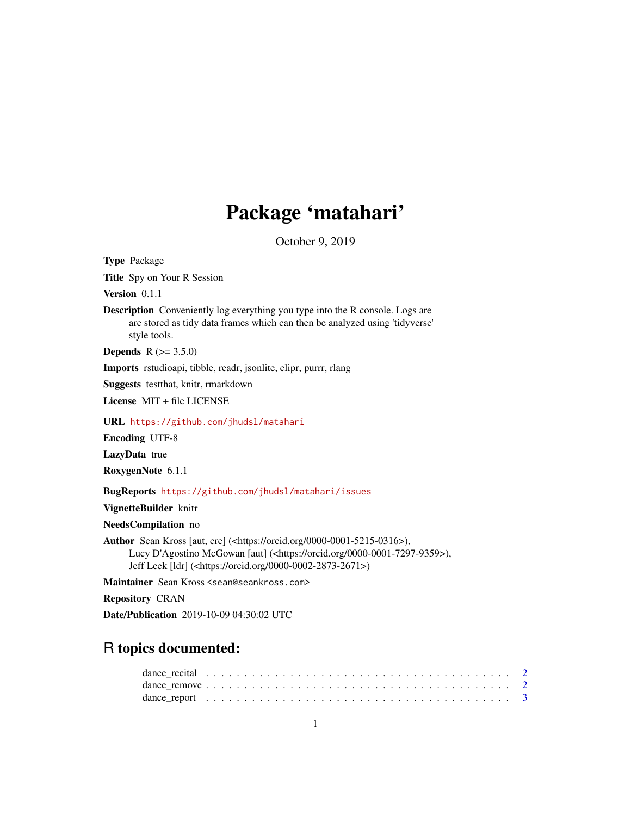# Package 'matahari'

October 9, 2019

<span id="page-0-0"></span>Type Package

Title Spy on Your R Session

Version 0.1.1

Description Conveniently log everything you type into the R console. Logs are are stored as tidy data frames which can then be analyzed using 'tidyverse' style tools.

**Depends** R  $(>= 3.5.0)$ 

Imports rstudioapi, tibble, readr, jsonlite, clipr, purrr, rlang

Suggests testthat, knitr, rmarkdown

License MIT + file LICENSE

URL <https://github.com/jhudsl/matahari>

Encoding UTF-8

LazyData true

RoxygenNote 6.1.1

BugReports <https://github.com/jhudsl/matahari/issues>

VignetteBuilder knitr

NeedsCompilation no

Author Sean Kross [aut, cre] (<https://orcid.org/0000-0001-5215-0316>), Lucy D'Agostino McGowan [aut] (<https://orcid.org/0000-0001-7297-9359>), Jeff Leek [ldr] (<https://orcid.org/0000-0002-2873-2671>)

Maintainer Sean Kross <sean@seankross.com>

Repository CRAN

Date/Publication 2019-10-09 04:30:02 UTC

# R topics documented:

| dance report $\ldots \ldots \ldots \ldots \ldots \ldots \ldots \ldots \ldots \ldots \ldots \ldots \ldots$ |  |  |  |  |  |  |  |  |  |  |  |  |  |  |  |  |  |  |  |  |  |
|-----------------------------------------------------------------------------------------------------------|--|--|--|--|--|--|--|--|--|--|--|--|--|--|--|--|--|--|--|--|--|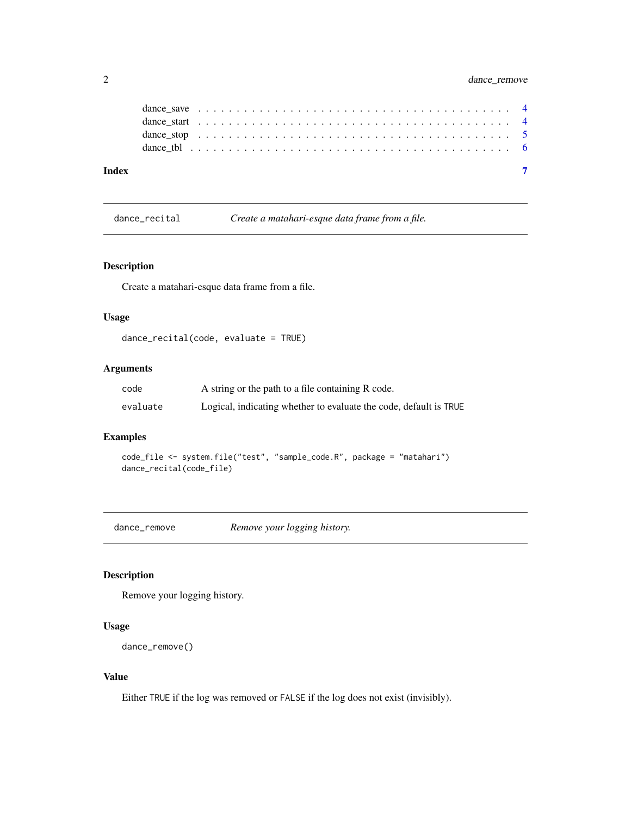# <span id="page-1-0"></span>2 dance\_remove

|       | dance save $\dots \dots \dots \dots \dots \dots \dots \dots \dots \dots \dots \dots \dots \dots \dots \dots \dots$  |  |  |  |  |  |  |  |  |  |  |  |  |  |  |  |  |  |  |  |  |  |
|-------|---------------------------------------------------------------------------------------------------------------------|--|--|--|--|--|--|--|--|--|--|--|--|--|--|--|--|--|--|--|--|--|
|       | dance start $\dots \dots \dots \dots \dots \dots \dots \dots \dots \dots \dots \dots \dots \dots \dots \dots \dots$ |  |  |  |  |  |  |  |  |  |  |  |  |  |  |  |  |  |  |  |  |  |
|       |                                                                                                                     |  |  |  |  |  |  |  |  |  |  |  |  |  |  |  |  |  |  |  |  |  |
|       |                                                                                                                     |  |  |  |  |  |  |  |  |  |  |  |  |  |  |  |  |  |  |  |  |  |
| Index |                                                                                                                     |  |  |  |  |  |  |  |  |  |  |  |  |  |  |  |  |  |  |  |  |  |

dance\_recital *Create a matahari-esque data frame from a file.*

#### Description

Create a matahari-esque data frame from a file.

#### Usage

```
dance_recital(code, evaluate = TRUE)
```
# Arguments

| code     | A string or the path to a file containing R code.                 |
|----------|-------------------------------------------------------------------|
| evaluate | Logical, indicating whether to evaluate the code, default is TRUE |

#### Examples

```
code_file <- system.file("test", "sample_code.R", package = "matahari")
dance_recital(code_file)
```
dance\_remove *Remove your logging history.*

#### Description

Remove your logging history.

# Usage

```
dance_remove()
```
#### Value

Either TRUE if the log was removed or FALSE if the log does not exist (invisibly).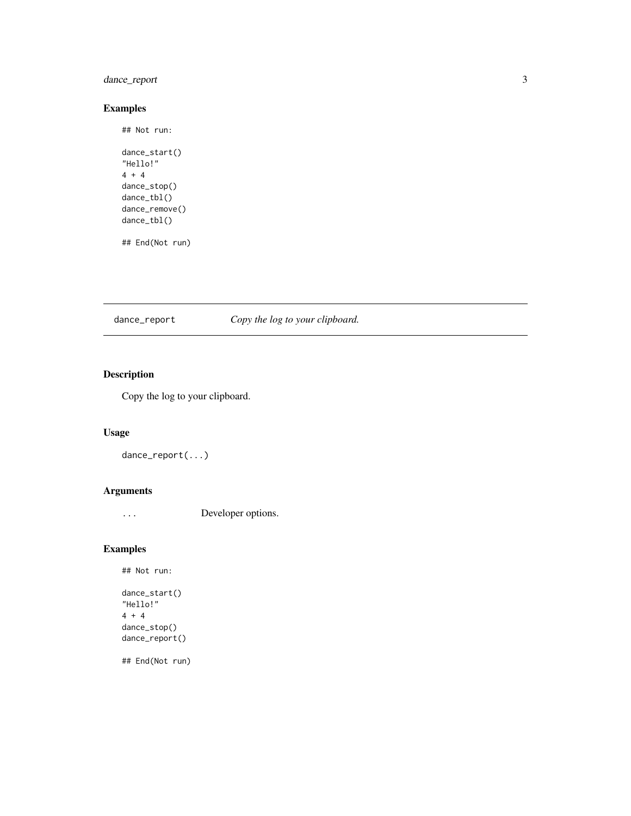# <span id="page-2-0"></span>dance\_report 3

#### Examples

```
dance_start()
"Hello!"
4 + 4
dance_stop()
dance_tbl()
dance_remove()
dance_tbl()
```
## Not run:

## End(Not run)

dance\_report *Copy the log to your clipboard.*

# Description

Copy the log to your clipboard.

#### Usage

```
dance_report(...)
```
#### Arguments

... Developer options.

#### Examples

```
## Not run:
```

```
dance_start()
"Hello!"
4 + 4
dance_stop()
dance_report()
## End(Not run)
```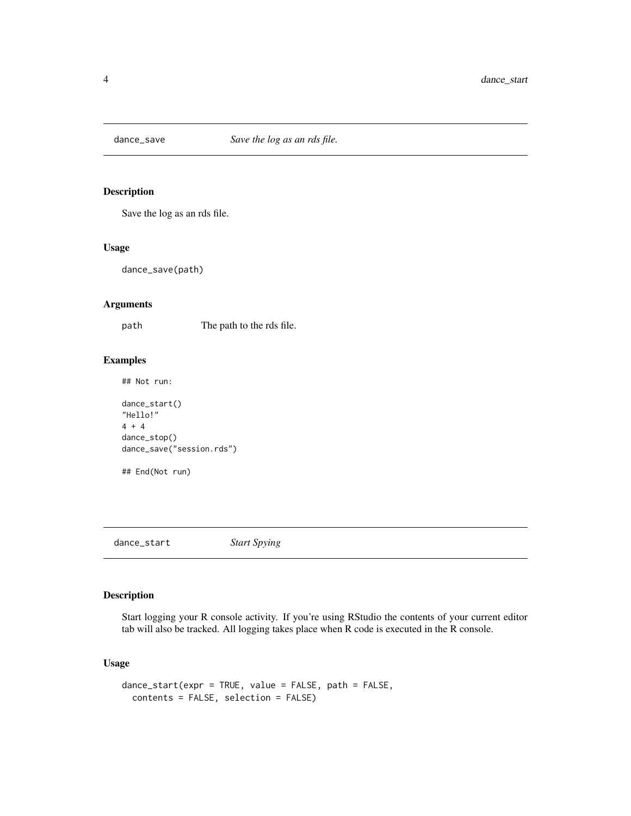<span id="page-3-0"></span>

#### Description

Save the log as an rds file.

#### Usage

dance\_save(path)

#### Arguments

path The path to the rds file.

#### Examples

## Not run:

```
dance_start()
"Hello!"
4 + 4
dance_stop()
dance_save("session.rds")
## End(Not run)
```
dance\_start *Start Spying*

#### Description

Start logging your R console activity. If you're using RStudio the contents of your current editor tab will also be tracked. All logging takes place when R code is executed in the R console.

#### Usage

```
dance_start(expr = TRUE, value = FALSE, path = FALSE,
 contents = FALSE, selection = FALSE)
```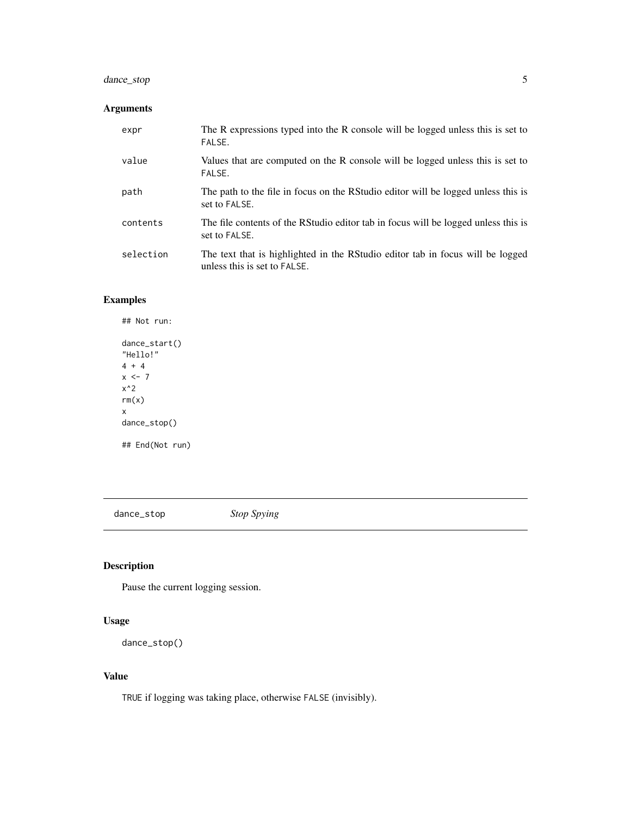# <span id="page-4-0"></span>dance\_stop 5

#### Arguments

| expr      | The R expressions typed into the R console will be logged unless this is set to<br>FALSE.                      |
|-----------|----------------------------------------------------------------------------------------------------------------|
| value     | Values that are computed on the R console will be logged unless this is set to<br>FALSE.                       |
| path      | The path to the file in focus on the RStudio editor will be logged unless this is<br>set to FALSE.             |
| contents  | The file contents of the RStudio editor tab in focus will be logged unless this is<br>set to FALSE.            |
| selection | The text that is highlighted in the RStudio editor tab in focus will be logged<br>unless this is set to FALSE. |

# Examples

dance\_start() "Hello!" 4 + 4  $x \le -7$ x^2  $rm(x)$ x dance\_stop() ## End(Not run)

## Not run:

dance\_stop *Stop Spying*

#### Description

Pause the current logging session.

#### Usage

```
dance_stop()
```
### Value

TRUE if logging was taking place, otherwise FALSE (invisibly).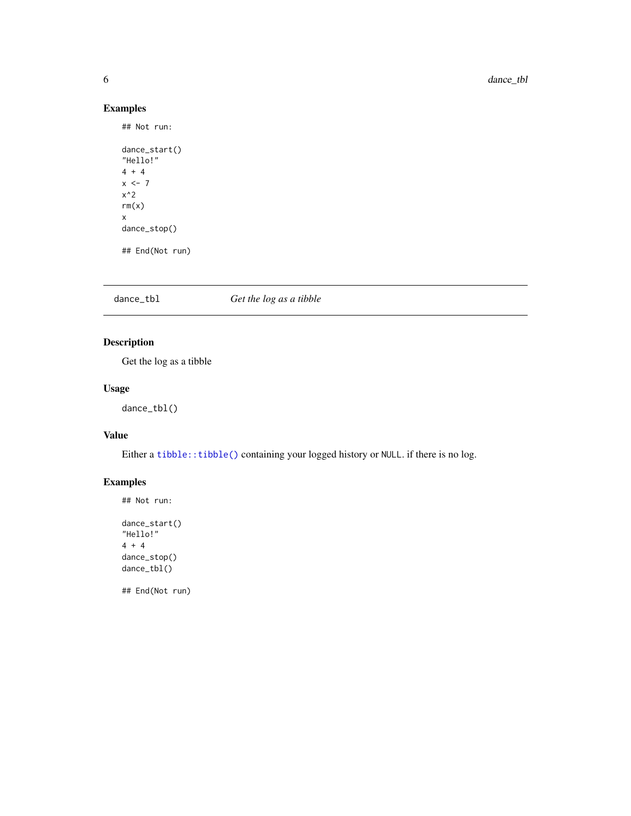# Examples

## Not run:

```
dance_start()
"Hello!"
4 + 4x \le -7x^{\wedge}2rm(x)x
dance_stop()
## End(Not run)
```
#### dance\_tbl *Get the log as a tibble*

# Description

Get the log as a tibble

#### Usage

dance\_tbl()

#### Value

Either a [tibble::tibble\(\)](#page-0-0) containing your logged history or NULL. if there is no log.

# Examples

## Not run: dance\_start()

"Hello!" 4 + 4 dance\_stop() dance\_tbl()

## End(Not run)

<span id="page-5-0"></span>